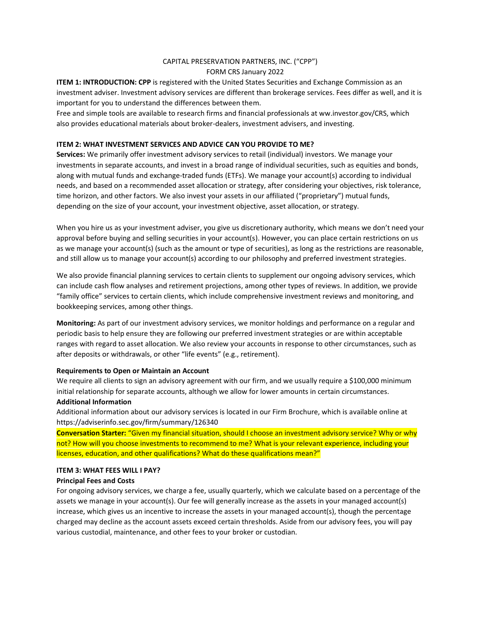# CAPITAL PRESERVATION PARTNERS, INC. ("CPP") FORM CRS January 2022

**ITEM 1: INTRODUCTION: CPP** is registered with the United States Securities and Exchange Commission as an investment adviser. Investment advisory services are different than brokerage services. Fees differ as well, and it is important for you to understand the differences between them.

Free and simple tools are available to research firms and financial professionals at ww.investor.gov/CRS, which also provides educational materials about broker-dealers, investment advisers, and investing.

# **ITEM 2: WHAT INVESTMENT SERVICES AND ADVICE CAN YOU PROVIDE TO ME?**

**Services:** We primarily offer investment advisory services to retail (individual) investors. We manage your investments in separate accounts, and invest in a broad range of individual securities, such as equities and bonds, along with mutual funds and exchange-traded funds (ETFs). We manage your account(s) according to individual needs, and based on a recommended asset allocation or strategy, after considering your objectives, risk tolerance, time horizon, and other factors. We also invest your assets in our affiliated ("proprietary") mutual funds, depending on the size of your account, your investment objective, asset allocation, or strategy.

When you hire us as your investment adviser, you give us discretionary authority, which means we don't need your approval before buying and selling securities in your account(s). However, you can place certain restrictions on us as we manage your account(s) (such as the amount or type of securities), as long as the restrictions are reasonable, and still allow us to manage your account(s) according to our philosophy and preferred investment strategies.

We also provide financial planning services to certain clients to supplement our ongoing advisory services, which can include cash flow analyses and retirement projections, among other types of reviews. In addition, we provide "family office" services to certain clients, which include comprehensive investment reviews and monitoring, and bookkeeping services, among other things.

**Monitoring:** As part of our investment advisory services, we monitor holdings and performance on a regular and periodic basis to help ensure they are following our preferred investment strategies or are within acceptable ranges with regard to asset allocation. We also review your accounts in response to other circumstances, such as after deposits or withdrawals, or other "life events" (e.g., retirement).

#### **Requirements to Open or Maintain an Account**

We require all clients to sign an advisory agreement with our firm, and we usually require a \$100,000 minimum initial relationship for separate accounts, although we allow for lower amounts in certain circumstances.

# **Additional Information**

Additional information about our advisory services is located in our Firm Brochure, which is available online at https://adviserinfo.sec.gov/firm/summary/126340

**Conversation Starter:** "Given my financial situation, should I choose an investment advisory service? Why or why not? How will you choose investments to recommend to me? What is your relevant experience, including your licenses, education, and other qualifications? What do these qualifications mean?"

#### **ITEM 3: WHAT FEES WILL I PAY?**

### **Principal Fees and Costs**

For ongoing advisory services, we charge a fee, usually quarterly, which we calculate based on a percentage of the assets we manage in your account(s). Our fee will generally increase as the assets in your managed account(s) increase, which gives us an incentive to increase the assets in your managed account(s), though the percentage charged may decline as the account assets exceed certain thresholds. Aside from our advisory fees, you will pay various custodial, maintenance, and other fees to your broker or custodian.